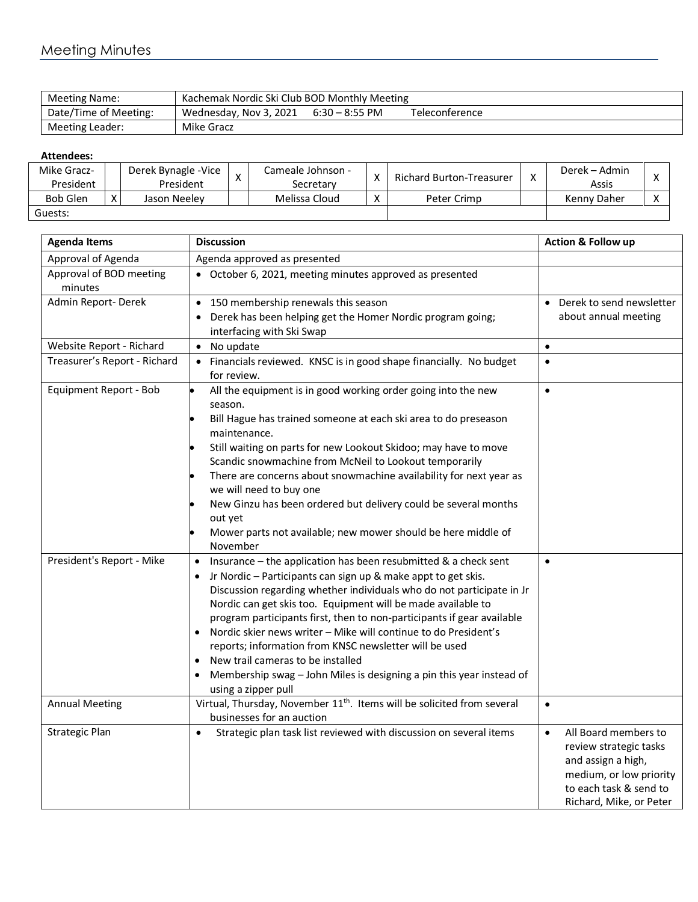## Meeting Minutes

| Meeting Name:         | Kachemak Nordic Ski Club BOD Monthly Meeting |                  |                |  |  |  |
|-----------------------|----------------------------------------------|------------------|----------------|--|--|--|
| Date/Time of Meeting: | Wednesday, Nov 3, 2021                       | $6:30 - 8:55$ PM | Teleconference |  |  |  |
| Meeting Leader:       | Mike Gracz                                   |                  |                |  |  |  |

## **Attendees:**

| Mike Gracz-     |    | Derek Bynagle - Vice | $\checkmark$ | Cameale Johnson - | $\mathbf{v}$               | Richard Burton-Treasurer | $\mathbf{v}$ | Derek – Admin |  |
|-----------------|----|----------------------|--------------|-------------------|----------------------------|--------------------------|--------------|---------------|--|
| President       |    | President            | $\lambda$    | Secretarv         | ∧                          |                          | ◠            | Assis         |  |
| <b>Bob Glen</b> | X. | Jason Neelev         |              | Melissa Cloud     | $\checkmark$<br>$\sqrt{ }$ | Peter Crimp              |              | Kenny Daher   |  |
| Guests:         |    |                      |              |                   |                            |                          |              |               |  |

| <b>Agenda Items</b>                | <b>Discussion</b>                                                                                                                                                                                                                                                                                                                                                                                                                                                                                                                                                                                                                              | Action & Follow up                                                                                                                                                |
|------------------------------------|------------------------------------------------------------------------------------------------------------------------------------------------------------------------------------------------------------------------------------------------------------------------------------------------------------------------------------------------------------------------------------------------------------------------------------------------------------------------------------------------------------------------------------------------------------------------------------------------------------------------------------------------|-------------------------------------------------------------------------------------------------------------------------------------------------------------------|
| Approval of Agenda                 | Agenda approved as presented                                                                                                                                                                                                                                                                                                                                                                                                                                                                                                                                                                                                                   |                                                                                                                                                                   |
| Approval of BOD meeting<br>minutes | • October 6, 2021, meeting minutes approved as presented                                                                                                                                                                                                                                                                                                                                                                                                                                                                                                                                                                                       |                                                                                                                                                                   |
| Admin Report-Derek                 | 150 membership renewals this season<br>$\bullet$<br>Derek has been helping get the Homer Nordic program going;<br>interfacing with Ski Swap                                                                                                                                                                                                                                                                                                                                                                                                                                                                                                    | Derek to send newsletter<br>about annual meeting                                                                                                                  |
| Website Report - Richard           | No update<br>$\bullet$                                                                                                                                                                                                                                                                                                                                                                                                                                                                                                                                                                                                                         | $\bullet$                                                                                                                                                         |
| Treasurer's Report - Richard       | Financials reviewed. KNSC is in good shape financially. No budget<br>for review.                                                                                                                                                                                                                                                                                                                                                                                                                                                                                                                                                               | $\bullet$                                                                                                                                                         |
| Equipment Report - Bob             | All the equipment is in good working order going into the new<br>season.<br>Bill Hague has trained someone at each ski area to do preseason<br>maintenance.<br>Still waiting on parts for new Lookout Skidoo; may have to move<br>Scandic snowmachine from McNeil to Lookout temporarily<br>There are concerns about snowmachine availability for next year as<br>we will need to buy one<br>New Ginzu has been ordered but delivery could be several months<br>out yet<br>Mower parts not available; new mower should be here middle of<br>November                                                                                           | $\bullet$                                                                                                                                                         |
| President's Report - Mike          | Insurance - the application has been resubmitted & a check sent<br>$\bullet$<br>Jr Nordic - Participants can sign up & make appt to get skis.<br>Discussion regarding whether individuals who do not participate in Jr<br>Nordic can get skis too. Equipment will be made available to<br>program participants first, then to non-participants if gear available<br>Nordic skier news writer - Mike will continue to do President's<br>reports; information from KNSC newsletter will be used<br>New trail cameras to be installed<br>Membership swag - John Miles is designing a pin this year instead of<br>$\bullet$<br>using a zipper pull | $\bullet$                                                                                                                                                         |
| <b>Annual Meeting</b>              | Virtual, Thursday, November 11 <sup>th</sup> . Items will be solicited from several<br>businesses for an auction                                                                                                                                                                                                                                                                                                                                                                                                                                                                                                                               | $\bullet$                                                                                                                                                         |
| <b>Strategic Plan</b>              | Strategic plan task list reviewed with discussion on several items<br>$\bullet$                                                                                                                                                                                                                                                                                                                                                                                                                                                                                                                                                                | All Board members to<br>$\bullet$<br>review strategic tasks<br>and assign a high,<br>medium, or low priority<br>to each task & send to<br>Richard, Mike, or Peter |